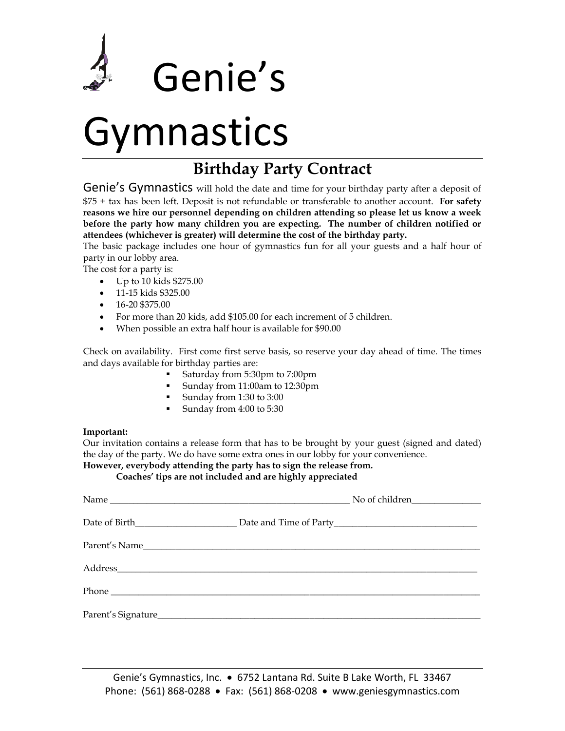

## Gymnastics

### **Birthday Party Contract**

Genie's Gymnastics will hold the date and time for your birthday party after a deposit of \$75 + tax has been left. Deposit is not refundable or transferable to another account. **For safety reasons we hire our personnel depending on children attending so please let us know a week before the party how many children you are expecting. The number of children notified or attendees (whichever is greater) will determine the cost of the birthday party.** 

The basic package includes one hour of gymnastics fun for all your guests and a half hour of party in our lobby area.

The cost for a party is:

- Up to 10 kids \$275.00
- 11-15 kids \$325.00
- $\bullet$  16-20 \$375.00
- For more than 20 kids, add \$105.00 for each increment of 5 children.
- When possible an extra half hour is available for \$90.00

Check on availability. First come first serve basis, so reserve your day ahead of time. The times and days available for birthday parties are:

- Saturday from 5:30pm to 7:00pm
- Sunday from 11:00am to 12:30pm
- Sunday from 1:30 to 3:00
- Sunday from 4:00 to 5:30

#### **Important:**

Our invitation contains a release form that has to be brought by your guest (signed and dated) the day of the party. We do have some extra ones in our lobby for your convenience. **However, everybody attending the party has to sign the release from.**

**Coaches' tips are not included and are highly appreciated**

Genie's Gymnastics, Inc. • 6752 Lantana Rd. Suite B Lake Worth, FL 33467 Phone: (561) 868-0288 • Fax: (561) 868-0208 • www.geniesgymnastics.com